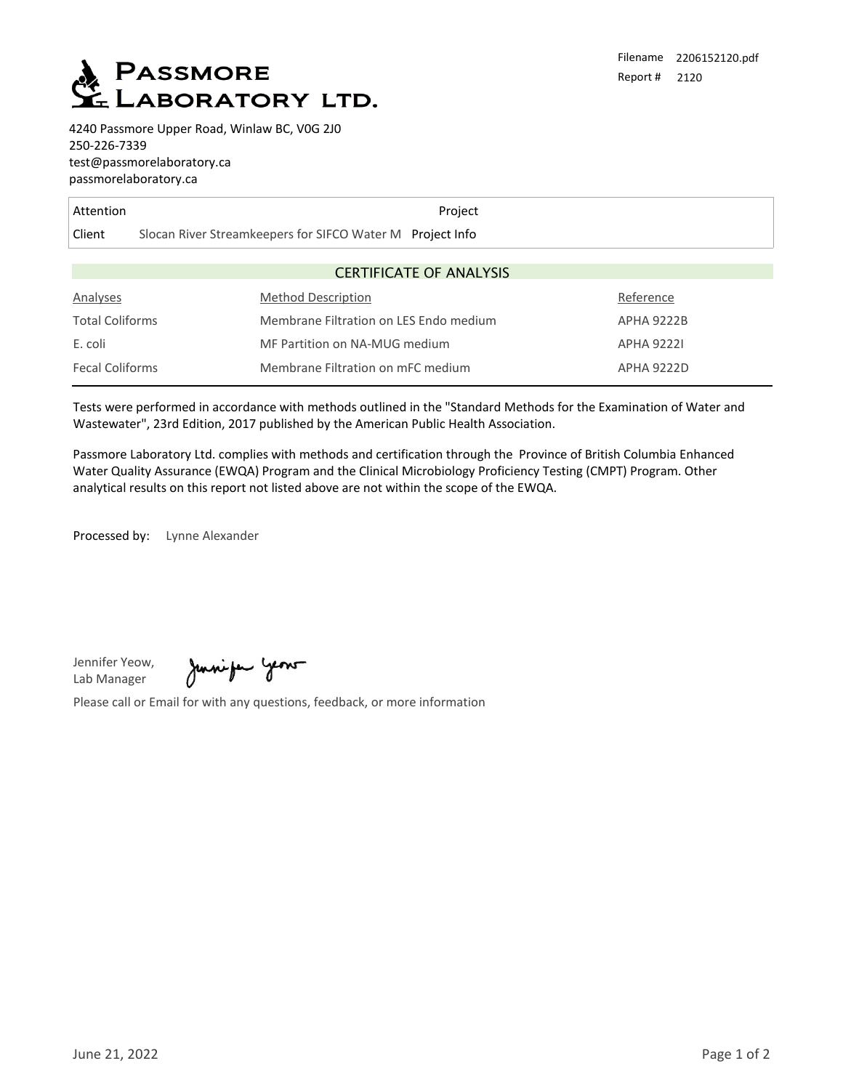

4240 Passmore Upper Road, Winlaw BC, V0G 2J0 250-226-7339 test@passmorelaboratory.ca passmorelaboratory.ca

| Attention                      |                                                           | Project |                   |  |  |
|--------------------------------|-----------------------------------------------------------|---------|-------------------|--|--|
| Client                         | Slocan River Streamkeepers for SIFCO Water M Project Info |         |                   |  |  |
|                                |                                                           |         |                   |  |  |
| <b>CERTIFICATE OF ANALYSIS</b> |                                                           |         |                   |  |  |
| Analyses                       | <b>Method Description</b>                                 |         | Reference         |  |  |
| <b>Total Coliforms</b>         | Membrane Filtration on LES Endo medium                    |         | <b>APHA 9222B</b> |  |  |
| E. coli                        | MF Partition on NA-MUG medium                             |         | <b>APHA 92221</b> |  |  |
| <b>Fecal Coliforms</b>         | Membrane Filtration on mFC medium                         |         | <b>APHA 9222D</b> |  |  |

Tests were performed in accordance with methods outlined in the "Standard Methods for the Examination of Water and Wastewater", 23rd Edition, 2017 published by the American Public Health Association.

Passmore Laboratory Ltd. complies with methods and certification through the Province of British Columbia Enhanced Water Quality Assurance (EWQA) Program and the Clinical Microbiology Proficiency Testing (CMPT) Program. Other analytical results on this report not listed above are not within the scope of the EWQA.

Processed by: Lynne Alexander

Jennifer Yeow, Lab Manager

Juniper year

Please call or Email for with any questions, feedback, or more information